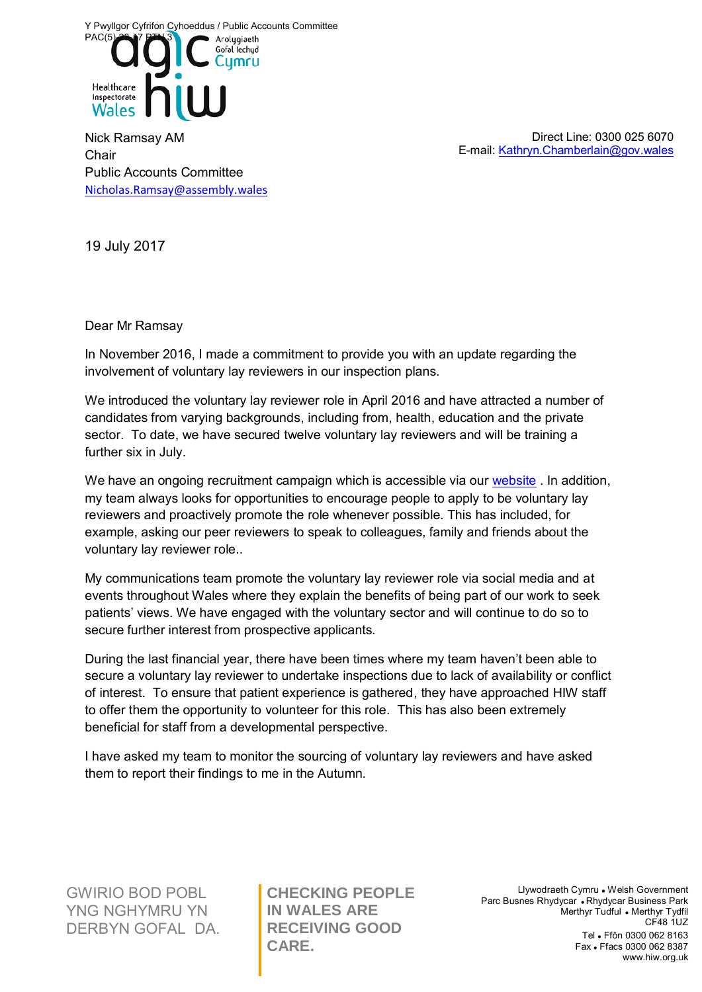Y Pwyllgor Cyfrifon Cyhoeddus / Public Accounts Committee



Nick Ramsay AM **Chair** Public Accounts Committee [Nicholas.Ramsay@assembly.wales](mailto:Nicholas.Ramsay@assembly.wales)

Direct Line: 0300 025 6070 E-mail[: Kathryn.Chamberlain@gov.wales](mailto:Kathryn.Chamberlain@gov.wales)

19 July 2017

Dear Mr Ramsay

In November 2016, I made a commitment to provide you with an update regarding the involvement of voluntary lay reviewers in our inspection plans.

We introduced the voluntary lay reviewer role in April 2016 and have attracted a number of candidates from varying backgrounds, including from, health, education and the private sector. To date, we have secured twelve voluntary lay reviewers and will be training a further six in July.

We have an ongoing recruitment campaign which is accessible via our [website](http://hiw.org.uk/about/vacancies/layreviewer/?lang=en). In addition, my team always looks for opportunities to encourage people to apply to be voluntary lay reviewers and proactively promote the role whenever possible. This has included, for example, asking our peer reviewers to speak to colleagues, family and friends about the voluntary lay reviewer role..

My communications team promote the voluntary lay reviewer role via social media and at events throughout Wales where they explain the benefits of being part of our work to seek patients' views. We have engaged with the voluntary sector and will continue to do so to secure further interest from prospective applicants.

During the last financial year, there have been times where my team haven't been able to secure a voluntary lay reviewer to undertake inspections due to lack of availability or conflict of interest. To ensure that patient experience is gathered, they have approached HIW staff to offer them the opportunity to volunteer for this role. This has also been extremely beneficial for staff from a developmental perspective.

I have asked my team to monitor the sourcing of voluntary lay reviewers and have asked them to report their findings to me in the Autumn.

GWIRIO BOD POBL YNG NGHYMRU YN DERBYN GOFAL DA.

**CHECKING PEOPLE IN WALES ARE RECEIVING GOOD CARE.**

Llywodraeth Cymru . Welsh Government Parc Busnes Rhydycar • Rhydycar Business Park Merthyr Tudful . Merthyr Tydfil CF48 1UZ Tel Ffôn 0300 062 8163 Fax Ffacs 0300 062 8387 www.hiw.org.uk